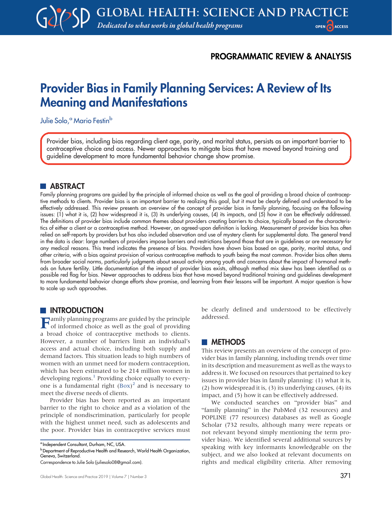# PROGRAMMATIC REVIEW & ANALYSIS

# Provider Bias in Family Planning Services: A Review of Its Meaning and Manifestations

Julie Solo,<sup>a</sup> Mario Festin<sup>b</sup>

Provider bias, including bias regarding client age, parity, and marital status, persists as an important barrier to contraceptive choice and access. Newer approaches to mitigate bias that have moved beyond training and guideline development to more fundamental behavior change show promise.

# **ABSTRACT**

Family planning programs are guided by the principle of informed choice as well as the goal of providing a broad choice of contraceptive methods to clients. Provider bias is an important barrier to realizing this goal, but it must be clearly defined and understood to be effectively addressed. This review presents an overview of the concept of provider bias in family planning, focusing on the following issues: (1) what it is, (2) how widespread it is, (3) its underlying causes, (4) its impacts, and (5) how it can be effectively addressed. The definitions of provider bias include common themes about providers creating barriers to choice, typically based on the characteristics of either a client or a contraceptive method. However, an agreed-upon definition is lacking. Measurement of provider bias has often relied on self-reports by providers but has also included observation and use of mystery clients for supplemental data. The general trend in the data is clear: large numbers of providers impose barriers and restrictions beyond those that are in guidelines or are necessary for any medical reasons. This trend indicates the presence of bias. Providers have shown bias based on age, parity, marital status, and other criteria, with a bias against provision of various contraceptive methods to youth being the most common. Provider bias often stems from broader social norms, particularly judgments about sexual activity among youth and concerns about the impact of hormonal methods on future fertility. Little documentation of the impact of provider bias exists, although method mix skew has been identified as a possible red flag for bias. Newer approaches to address bias that have moved beyond traditional training and guidelines development to more fundamental behavior change efforts show promise, and learning from their lessons will be important. A major question is how to scale up such approaches.

## **INTRODUCTION**

Family planning programs are guided by the principle of informed choice as well as the goal of providing a broad choice of contraceptive methods to clients. However, a number of barriers limit an individual's access and actual choice, including both supply and demand factors. This situation leads to high numbers of women with an unmet need for modern contraception, which has been estimated to be 214 million women in developing regions.<sup>[1](#page-12-0)</sup> Providing choice equally to everyone is a fundamental right ([Box](#page-1-0)) [2](#page-12-1) and is necessary to meet the diverse needs of clients.

Provider bias has been reported as an important barrier to the right to choice and as a violation of the principle of nondiscrimination, particularly for people with the highest unmet need, such as adolescents and the poor. Provider bias in contraceptive services must be clearly defined and understood to be effectively addressed.

## **METHODS**

This review presents an overview of the concept of provider bias in family planning, including trends over time in its description and measurement as well as the ways to address it. We focused on resources that pertained to key issues in provider bias in family planning: (1) what it is, (2) how widespread it is, (3) its underlying causes, (4) its impact, and (5) how it can be effectively addressed.

We conducted searches on "provider bias" and "family planning" in the PubMed (32 resources) and POPLINE (77 resources) databases as well as Google Scholar (732 results, although many were repeats or not relevant beyond simply mentioning the term provider bias). We identified several additional sources by speaking with key informants knowledgeable on the subject, and we also looked at relevant documents on rights and medical eligibility criteria. After removing

<sup>a</sup> Independent Consultant, Durham, NC, USA.

b Department of Reproductive Health and Research, World Health Organization, Geneva, Switzerland.

Correspondence to Julie Solo ([juliesolo08@gmail.com\)](mailto:juliesolo08@gmail.com).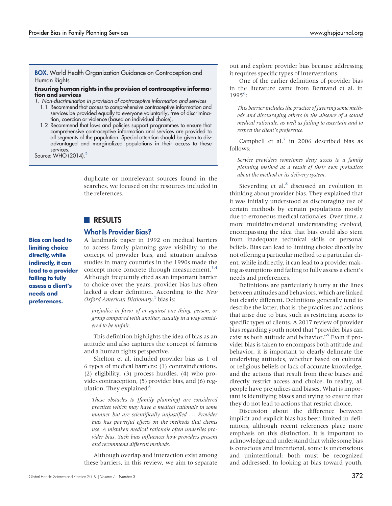#### <span id="page-1-0"></span>**BOX.** World Health Organization Guidance on Contraception and Human Rights

#### Ensuring human rights in the provision of contraceptive information and services

1. Non-discrimination in provision of contraceptive information and services

- 1.1 Recommend that access to comprehensive contraceptive information and services be provided equally to everyone voluntarily, free of discrimination, coercion or violence (based on individual choice).
- 1.2 Recommend that laws and policies support programmes to ensure that comprehensive contraceptive information and services are provided to all segments of the population. Special attention should be given to disadvantaged and marginalized populations in their access to these services.

Source: WHO (2014)[.2](#page-12-1)

duplicate or nonrelevant sources found in the searches, we focused on the resources included in the references.

# **RESULTS**

## What Is Provider Bias?

Bias can lead to limiting choice directly, while indirectly, it can lead to a provider failing to fully assess a client's needs and preferences.

A landmark paper in 1992 on medical barriers to access family planning gave visibility to the concept of provider bias, and situation analysis studies in many countries in the 1990s made the concept more concrete through measurement.<sup>3,[4](#page-12-3)</sup> Although frequently cited as an important barrier to choice over the years, provider bias has often lacked a clear definition. According to the New Oxford American Dictionary,<sup>[5](#page-12-4)</sup> bias is:

prejudice in favor of or against one thing, person, or group compared with another, usually in a way considered to be unfair.

This definition highlights the idea of bias as an attitude and also captures the concept of fairness and a human rights perspective.

Shelton et al. included provider bias as 1 of 6 types of medical barriers: (1) contraindications, (2) eligibility, (3) process hurdles, (4) who provides contraception, (5) provider bias, and (6) reg-ulation. They explained<sup>[3](#page-12-2)</sup>:

These obstacles to [family planning] are considered practices which may have a medical rationale in some manner but are scientifically unjustified ... Provider bias has powerful effects on the methods that clients use. A mistaken medical rationale often underlies provider bias. Such bias influences how providers present and recommend different methods.

Although overlap and interaction exist among these barriers, in this review, we aim to separate

One of the earlier definitions of provider bias in the literature came from Bertrand et al. in 1995[6](#page-12-5) :

This barrier includes the practice of favoring some methods and discouraging others in the absence of a sound medical rationale, as well as failing to ascertain and to respect the client's preference.

Campbell et al. $^7$  in 2006 described bias as follows:

Service providers sometimes deny access to a family planning method as a result of their own prejudices about the method or its delivery system.

Sieverding et al.<sup>[8](#page-12-7)</sup> discussed an evolution in thinking about provider bias. They explained that it was initially understood as discouraging use of certain methods by certain populations mostly due to erroneous medical rationales. Over time, a more multidimensional understanding evolved, encompassing the idea that bias could also stem from inadequate technical skills or personal beliefs. Bias can lead to limiting choice directly by not offering a particular method to a particular client, while indirectly, it can lead to a provider making assumptions and failing to fully assess a client's needs and preferences.

Definitions are particularly blurry at the lines between attitudes and behaviors, which are linked but clearly different. Definitions generally tend to describe the latter, that is, the practices and actions that arise due to bias, such as restricting access to specific types of clients. A 2017 review of provider bias regarding youth noted that "provider bias can exist as both attitude and behavior."[9](#page-12-8) Even if provider bias is taken to encompass both attitude and behavior, it is important to clearly delineate the underlying attitudes, whether based on cultural or religious beliefs or lack of accurate knowledge, and the actions that result from these biases and directly restrict access and choice. In reality, all people have prejudices and biases. What is important is identifying biases and trying to ensure that they do not lead to actions that restrict choice.

Discussion about the difference between implicit and explicit bias has been limited in definitions, although recent references place more emphasis on this distinction. It is important to acknowledge and understand that while some bias is conscious and intentional, some is unconscious and unintentional; both must be recognized and addressed. In looking at bias toward youth,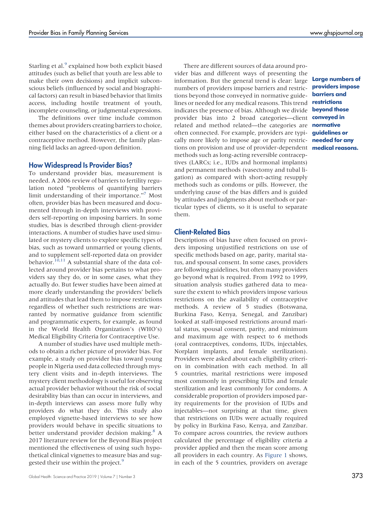Starling et al.<sup>[9](#page-12-8)</sup> explained how both explicit biased attitudes (such as belief that youth are less able to make their own decisions) and implicit subconscious beliefs (influenced by social and biographical factors) can result in biased behavior that limits access, including hostile treatment of youth, incomplete counseling, or judgmental expressions.

The definitions over time include common themes about providers creating barriers to choice, either based on the characteristics of a client or a contraceptive method. However, the family planning field lacks an agreed-upon definition.

#### How Widespread Is Provider Bias?

To understand provider bias, measurement is needed. A 2006 review of barriers to fertility regulation noted "problems of quantifying barriers limit understanding of their importance."<sup>[7](#page-12-6)</sup> Most often, provider bias has been measured and documented through in-depth interviews with providers self-reporting on imposing barriers. In some studies, bias is described through client-provider interactions. A number of studies have used simulated or mystery clients to explore specific types of bias, such as toward unmarried or young clients, and to supplement self-reported data on provider behavior.<sup>[10,](#page-12-9)[11](#page-13-0)</sup> A substantial share of the data collected around provider bias pertains to what providers say they do, or in some cases, what they actually do. But fewer studies have been aimed at more clearly understanding the providers' beliefs and attitudes that lead them to impose restrictions regardless of whether such restrictions are warranted by normative guidance from scientific and programmatic experts, for example, as found in the World Health Organization's (WHO's) Medical Eligibility Criteria for Contraceptive Use.

A number of studies have used multiple methods to obtain a richer picture of provider bias. For example, a study on provider bias toward young people in Nigeria used data collected through mystery client visits and in-depth interviews. The mystery client methodology is useful for observing actual provider behavior without the risk of social desirability bias than can occur in interviews, and in-depth interviews can assess more fully why providers do what they do. This study also employed vignette-based interviews to see how providers would behave in specific situations to better understand provider decision making.<sup>[8](#page-12-7)</sup> A 2017 literature review for the Beyond Bias project mentioned the effectiveness of using such hypothetical clinical vignettes to measure bias and sug-gested their use within the project.<sup>[9](#page-12-8)</sup>

There are different sources of data around provider bias and different ways of presenting the information. But the general trend is clear: large numbers of providers impose barriers and restrictions beyond those conveyed in normative guidelines or needed for any medical reasons. This trend indicates the presence of bias. Although we divide provider bias into 2 broad categories—client related and method related—the categories are often connected. For example, providers are typically more likely to impose age or parity restrictions on provision and use of provider-dependent methods such as long-acting reversible contraceptives (LARCs; i.e., IUDs and hormonal implants) and permanent methods (vasectomy and tubal ligation) as compared with short-acting resupply methods such as condoms or pills. However, the underlying cause of the bias differs and is guided by attitudes and judgments about methods or particular types of clients, so it is useful to separate them.

## Client-Related Bias

Descriptions of bias have often focused on providers imposing unjustified restrictions on use of specific methods based on age, parity, marital status, and spousal consent. In some cases, providers are following guidelines, but often many providers go beyond what is required. From 1992 to 1999, situation analysis studies gathered data to measure the extent to which providers impose various restrictions on the availability of contraceptive methods. A review of 5 studies (Botswana, Burkina Faso, Kenya, Senegal, and Zanzibar) looked at staff-imposed restrictions around marital status, spousal consent, parity, and minimum and maximum age with respect to 6 methods (oral contraceptives, condoms, IUDs, injectables, Norplant implants, and female sterilization). Providers were asked about each eligibility criterion in combination with each method. In all 5 countries, marital restrictions were imposed most commonly in prescribing IUDs and female sterilization and least commonly for condoms. A considerable proportion of providers imposed parity requirements for the provision of IUDs and injectables—not surprising at that time, given that restrictions on IUDs were actually required by policy in Burkina Faso, Kenya, and Zanzibar. To compare across countries, the review authors calculated the percentage of eligibility criteria a provider applied and then the mean score among all providers in each country. As [Figure 1](#page-3-0) shows, in each of the 5 countries, providers on average

Large numbers of providers impose barriers and restrictions beyond those conveyed in normative guidelines or needed for any medical reasons.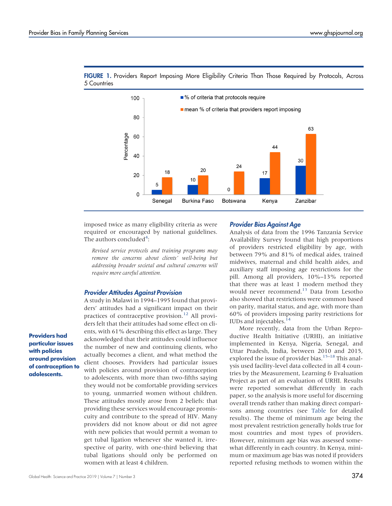

<span id="page-3-0"></span>FIGURE 1. Providers Report Imposing More Eligibility Criteria Than Those Required by Protocols, Across 5 Countries

imposed twice as many eligibility criteria as were required or encouraged by national guidelines. The authors concluded<sup>[4](#page-12-3)</sup>:

Revised service protocols and training programs may remove the concerns about clients' well-being but addressing broader societal and cultural concerns will require more careful attention.

#### Provider Attitudes Against Provision

A study in Malawi in 1994–1995 found that providers' attitudes had a significant impact on their practices of contraceptive provision.<sup>[12](#page-13-1)</sup> All providers felt that their attitudes had some effect on clients, with 61% describing this effect as large. They acknowledged that their attitudes could influence the number of new and continuing clients, who actually becomes a client, and what method the client chooses. Providers had particular issues with policies around provision of contraception to adolescents, with more than two-fifths saying they would not be comfortable providing services to young, unmarried women without children. These attitudes mostly arose from 2 beliefs: that providing these services would encourage promiscuity and contribute to the spread of HIV. Many providers did not know about or did not agree with new policies that would permit a woman to get tubal ligation whenever she wanted it, irrespective of parity, with one-third believing that tubal ligations should only be performed on women with at least 4 children.

#### Provider Bias Against Age

Analysis of data from the 1996 Tanzania Service Availability Survey found that high proportions of providers restricted eligibility by age, with between 79% and 81% of medical aides, trained midwives, maternal and child health aides, and auxiliary staff imposing age restrictions for the pill. Among all providers, 10%–13% reported that there was at least 1 modern method they would never recommend.<sup>13</sup> Data from Lesotho also showed that restrictions were common based on parity, marital status, and age, with more than 60% of providers imposing parity restrictions for IUDs and injectables. $14$ 

More recently, data from the Urban Reproductive Health Initiative (URHI), an initiative implemented in Kenya, Nigeria, Senegal, and Uttar Pradesh, India, between 2010 and 2015, explored the issue of provider bias. $15-18$  $15-18$  This analysis used facility-level data collected in all 4 countries by the Measurement, Learning & Evaluation Project as part of an evaluation of URHI. Results were reported somewhat differently in each paper, so the analysis is more useful for discerning overall trends rather than making direct comparisons among countries (see [Table](#page-4-0) for detailed results). The theme of minimum age being the most prevalent restriction generally holds true for most countries and most types of providers. However, minimum age bias was assessed somewhat differently in each country. In Kenya, minimum or maximum age bias was noted if providers reported refusing methods to women within the

Providers had particular issues with policies around provision of contraception to adolescents.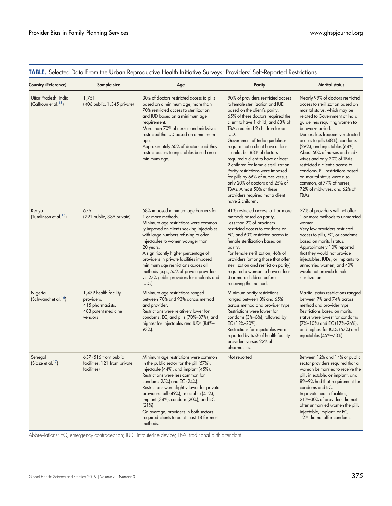| <b>Country (Reference)</b>                              | Sample size                                                                               | Age                                                                                                                                                                                                                                                                                                                                                                                                                                                                                  | Parity                                                                                                                                                                                                                                                                                                                                                                                                                                                                                                                                                                                                             | Marital status                                                                                                                                                                                                                                                                                                                                                                                                                                                                                                                                             |
|---------------------------------------------------------|-------------------------------------------------------------------------------------------|--------------------------------------------------------------------------------------------------------------------------------------------------------------------------------------------------------------------------------------------------------------------------------------------------------------------------------------------------------------------------------------------------------------------------------------------------------------------------------------|--------------------------------------------------------------------------------------------------------------------------------------------------------------------------------------------------------------------------------------------------------------------------------------------------------------------------------------------------------------------------------------------------------------------------------------------------------------------------------------------------------------------------------------------------------------------------------------------------------------------|------------------------------------------------------------------------------------------------------------------------------------------------------------------------------------------------------------------------------------------------------------------------------------------------------------------------------------------------------------------------------------------------------------------------------------------------------------------------------------------------------------------------------------------------------------|
| Uttar Pradesh, India<br>(Calhoun et al. <sup>18</sup> ) | 1,751<br>(406 public, 1,345 private)                                                      | 30% of doctors restricted access to pills<br>based on a minimum age; more than<br>70% restricted access to sterilization<br>and IUD based on a minimum age<br>requirement.<br>More than 70% of nurses and midwives<br>restricted the IUD based on a minimum<br>age.<br>Approximately 50% of doctors said they<br>restrict access to injectables based on a<br>minimum age.                                                                                                           | 90% of providers restricted access<br>to female sterilization and IUD<br>based on the client's parity.<br>65% of these doctors required the<br>client to have 1 child, and 63% of<br>TBAs required 2 children for an<br>IUD.<br>Government of India guidelines<br>require that a client have at least<br>1 child, but 83% of doctors<br>required a client to have at least<br>2 children for female sterilization.<br>Parity restrictions were imposed<br>for pills by 66% of nurses versus<br>only 20% of doctors and 25% of<br>TBAs. Almost 50% of these<br>providers required that a client<br>have 2 children. | Nearly 99% of doctors restricted<br>access to sterilization based on<br>marital status, which may be<br>related to Government of India<br>guidelines requiring women to<br>be ever-married.<br>Doctors less frequently restricted<br>access to pills (48%), condoms<br>(29%), and injectables (68%).<br>About 50% of nurses and mid-<br>wives and only 20% of TBAs<br>restricted a client's access to<br>condoms. Pill restrictions based<br>on marital status were also<br>common, at 77% of nurses,<br>72% of midwives, and 62% of<br>TBA <sub>s</sub> . |
| Kenya<br>(Tumlinson et al. <sup>15</sup> )              | 676<br>(291 public, 385 private)                                                          | 58% imposed minimum age barriers for<br>1 or more methods.<br>Minimum age restrictions were common-<br>ly imposed on clients seeking injectables,<br>with large numbers refusing to offer<br>injectables to women younger than<br>20 years.<br>A significantly higher percentage of<br>providers in private facilities imposed<br>minimum age restrictions across all<br>methods (e.g., 55% of private providers<br>vs. 27% public providers for implants and<br>IUD <sub>s</sub> ). | 41% restricted access to 1 or more<br>methods based on parity.<br>Less than 2% of providers<br>restricted access to condoms or<br>EC, and 60% restricted access to<br>female sterilization based on<br>parity.<br>For female sterilization, 46% of<br>providers (among those that offer<br>sterilization and restrict on parity)<br>required a woman to have at least<br>3 or more children before<br>receiving the method.                                                                                                                                                                                        | 22% of providers will not offer<br>1 or more methods to unmarried<br>women.<br>Very few providers restricted<br>access to pills, EC, or condoms<br>based on marital status.<br>Approximately 10% reported<br>that they would not provide<br>injectables, IUDs, or implants to<br>unmarried women, and 40%<br>would not provide female<br>sterilization.                                                                                                                                                                                                    |
| Nigeria<br>(Schwandt et al. <sup>16</sup> )             | 1,479 health facility<br>providers,<br>415 pharmacists,<br>483 patent medicine<br>vendors | Minimum age restrictions ranged<br>between 70% and 93% across method<br>and provider.<br>Restrictions were relatively lower for<br>condoms, EC, and pills (70%-87%), and<br>highest for injectables and IUDs (84%-<br>$93%$ ).                                                                                                                                                                                                                                                       | Minimum parity restrictions<br>ranged between 3% and 65%<br>across method and provider type.<br>Restrictions were lowest for<br>condoms (3%-6%), followed by<br>EC (12%-20%).<br>Restrictions for injectables were<br>reported by 65% of health facility<br>providers versus 22% of<br>pharmacists.                                                                                                                                                                                                                                                                                                                | Marital status restrictions ranged<br>between 7% and 74% across<br>method and provider type.<br>Restrictions based on marital<br>status were lowest for condoms<br>(7%-10%) and EC (17%-26%),<br>and highest for IUDs (67%) and<br>injectables (45%-73%).                                                                                                                                                                                                                                                                                                  |
| Senegal<br>(Sidze et al. $17$ )                         | 637 (516 from public<br>facilities, 121 from private<br>facilities)                       | Minimum age restrictions were common<br>in the public sector for the pill (57%),<br>injectable (44%), and implant (45%).<br>Restrictions were less common for<br>condoms 25%) and EC (24%).<br>Restrictions were slightly lower for private<br>providers: pill (49%), injectable (41%),<br>implant (38%), condom (20%), and EC<br>$(21\%)$ .<br>On average, providers in both sectors<br>required clients to be at least 18 for most<br>methods.                                     | Not reported                                                                                                                                                                                                                                                                                                                                                                                                                                                                                                                                                                                                       | Between 12% and 14% of public<br>sector providers required that a<br>woman be married to receive the<br>pill, injectable, or implant, and<br>8%-9% had that requirement for<br>condoms and EC.<br>In private health facilities,<br>21%-30% of providers did not<br>offer unmarried women the pill,<br>injectable, implant, or EC;<br>12% did not offer condoms.                                                                                                                                                                                            |

# <span id="page-4-0"></span>TABLE. Selected Data From the Urban Reproductive Health Initiative Surveys: Providers' Self-Reported Restrictions

Abbreviations: EC, emergency contraception; IUD, intrauterine device; TBA, traditional birth attendant.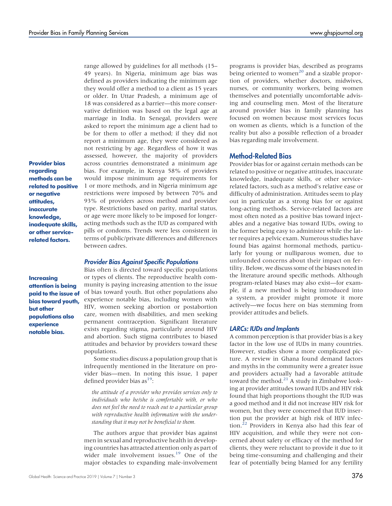Provider bias regarding methods can be related to positive or negative attitudes, inaccurate knowledge, inadequate skills, or other servicerelated factors.

**Increasing** attention is being paid to the issue of bias toward youth, but other populations also experience notable bias.

range allowed by guidelines for all methods (15– 49 years). In Nigeria, minimum age bias was defined as providers indicating the minimum age they would offer a method to a client as 15 years or older. In Uttar Pradesh, a minimum age of 18 was considered as a barrier—this more conservative definition was based on the legal age at marriage in India. In Senegal, providers were asked to report the minimum age a client had to be for them to offer a method; if they did not report a minimum age, they were considered as not restricting by age. Regardless of how it was assessed, however, the majority of providers across countries demonstrated a minimum age bias. For example, in Kenya 58% of providers would impose minimum age requirements for 1 or more methods, and in Nigeria minimum age restrictions were imposed by between 70% and 93% of providers across method and provider type. Restrictions based on parity, marital status, or age were more likely to be imposed for longeracting methods such as the IUD as compared with pills or condoms. Trends were less consistent in terms of public/private differences and differences between cadres.

#### Provider Bias Against Specific Populations

Bias often is directed toward specific populations or types of clients. The reproductive health community is paying increasing attention to the issue of bias toward youth. But other populations also experience notable bias, including women with HIV, women seeking abortion or postabortion care, women with disabilities, and men seeking permanent contraception. Significant literature exists regarding stigma, particularly around HIV and abortion. Such stigma contributes to biased attitudes and behavior by providers toward these populations.

Some studies discuss a population group that is infrequently mentioned in the literature on provider bias—men. In noting this issue, 1 paper defined provider bias  $as<sup>19</sup>$ :

the attitude of a provider who provides services only to individuals who he/she is comfortable with, or who does not feel the need to reach out to a particular group with reproductive health information with the understanding that it may not be beneficial to them.

The authors argue that provider bias against men in sexual and reproductive health in developing countries has attracted attention only as part of wider male involvement issues.<sup>[19](#page-13-8)</sup> One of the major obstacles to expanding male-involvement

programs is provider bias, described as programs being oriented to women<sup>[20](#page-13-9)</sup> and a sizable proportion of providers, whether doctors, midwives, nurses, or community workers, being women themselves and potentially uncomfortable advising and counseling men. Most of the literature around provider bias in family planning has focused on women because most services focus on women as clients, which is a function of the reality but also a possible reflection of a broader bias regarding male involvement.

## Method-Related Bias

Provider bias for or against certain methods can be related to positive or negative attitudes, inaccurate knowledge, inadequate skills, or other servicerelated factors, such as a method's relative ease or difficulty of administration. Attitudes seem to play out in particular as a strong bias for or against long-acting methods. Service-related factors are most often noted as a positive bias toward injectables and a negative bias toward IUDs, owing to the former being easy to administer while the latter requires a pelvic exam. Numerous studies have found bias against hormonal methods, particularly for young or nulliparous women, due to unfounded concerns about their impact on fertility. Below, we discuss some of the biases noted in the literature around specific methods. Although program-related biases may also exist—for example, if a new method is being introduced into a system, a provider might promote it more actively—we focus here on bias stemming from provider attitudes and beliefs.

#### LARCs: IUDs and Implants

A common perception is that provider bias is a key factor in the low use of IUDs in many countries. However, studies show a more complicated picture. A review in Ghana found demand factors and myths in the community were a greater issue and providers actually had a favorable attitude toward the method.<sup>[21](#page-13-10)</sup> A study in Zimbabwe looking at provider attitudes toward IUDs and HIV risk found that high proportions thought the IUD was a good method and it did not increase HIV risk for women, but they were concerned that IUD insertion put the provider at high risk of HIV infection[.22](#page-13-11) Providers in Kenya also had this fear of HIV acquisition, and while they were not concerned about safety or efficacy of the method for clients, they were reluctant to provide it due to it being time-consuming and challenging and their fear of potentially being blamed for any fertility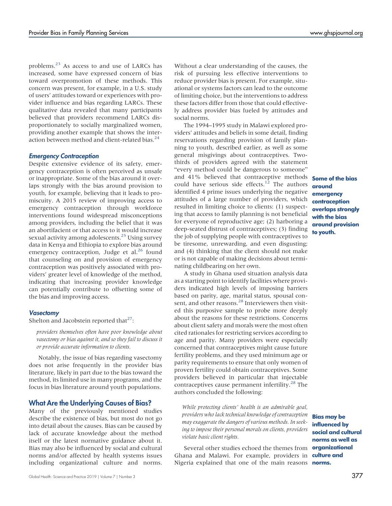problems.[23](#page-13-12) As access to and use of LARCs has increased, some have expressed concern of bias toward overpromotion of these methods. This concern was present, for example, in a U.S. study of users' attitudes toward or experiences with provider influence and bias regarding LARCs. These qualitative data revealed that many participants believed that providers recommend LARCs disproportionately to socially marginalized women, providing another example that shows the interaction between method and client-related bias.<sup>24</sup>

#### Emergency Contraception

Despite extensive evidence of its safety, emergency contraception is often perceived as unsafe or inappropriate. Some of the bias around it overlaps strongly with the bias around provision to youth, for example, believing that it leads to promiscuity. A 2015 review of improving access to emergency contraception through workforce interventions found widespread misconceptions among providers, including the belief that it was an abortifacient or that access to it would increase sexual activity among adolescents.<sup>25</sup> Using survey data in Kenya and Ethiopia to explore bias around emergency contraception, Judge et al.<sup>[26](#page-13-15)</sup> found that counseling on and provision of emergency contraception was positively associated with providers' greater level of knowledge of the method, indicating that increasing provider knowledge can potentially contribute to offsetting some of the bias and improving access.

#### **Vasectomy**

Shelton and Jacobstein reported that $27$ :

providers themselves often have poor knowledge about vasectomy or bias against it, and so they fail to discuss it or provide accurate information to clients.

Notably, the issue of bias regarding vasectomy does not arise frequently in the provider bias literature, likely in part due to the bias toward the method, its limited use in many programs, and the focus in bias literature around youth populations.

#### What Are the Underlying Causes of Bias?

Many of the previously mentioned studies describe the existence of bias, but most do not go into detail about the causes. Bias can be caused by lack of accurate knowledge about the method itself or the latest normative guidance about it. Bias may also be influenced by social and cultural norms and/or affected by health systems issues including organizational culture and norms.

Without a clear understanding of the causes, the risk of pursuing less effective interventions to reduce provider bias is present. For example, situational or systems factors can lead to the outcome of limiting choice, but the interventions to address these factors differ from those that could effectively address provider bias fueled by attitudes and social norms.

The 1994–1995 study in Malawi explored providers' attitudes and beliefs in some detail, finding reservations regarding provision of family planning to youth, described earlier, as well as some general misgivings about contraceptives. Twothirds of providers agreed with the statement "every method could be dangerous to someone" and 41% believed that contraceptive methods **Some of the bias** could have serious side effects.<sup>[12](#page-13-1)</sup> The authors identified 4 prime issues underlying the negative attitudes of a large number of providers, which resulted in limiting choice to clients: (1) suspecting that access to family planning is not beneficial for everyone of reproductive age; (2) harboring a deep-seated distrust of contraceptives; (3) finding the job of supplying people with contraceptives to be tiresome, unrewarding, and even disgusting; and (4) thinking that the client should not make or is not capable of making decisions about terminating childbearing on her own.

A study in Ghana used situation analysis data as a starting point to identify facilities where providers indicated high levels of imposing barriers based on parity, age, marital status, spousal consent, and other reasons.[28](#page-13-17) Interviewers then visited this purposive sample to probe more deeply about the reasons for these restrictions. Concerns about client safety and morals were the most often cited rationales for restricting services according to age and parity. Many providers were especially concerned that contraceptives might cause future fertility problems, and they used minimum age or parity requirements to ensure that only women of proven fertility could obtain contraceptives. Some providers believed in particular that injectable contraceptives cause permanent infertility.<sup>[28](#page-13-17)</sup> The authors concluded the following:

While protecting clients' health is an admirable goal, providers who lack technical knowledge of contraception may exaggerate the dangers of various methods. In seeking to impose their personal morals on clients, providers violate basic client rights.

Several other studies echoed the themes from **organizational** Ghana and Malawi. For example, providers in Nigeria explained that one of the main reasons norms.

around emergency contraception overlaps strongly with the bias around provision to youth.

Bias may be influenced by social and cultural norms as well as culture and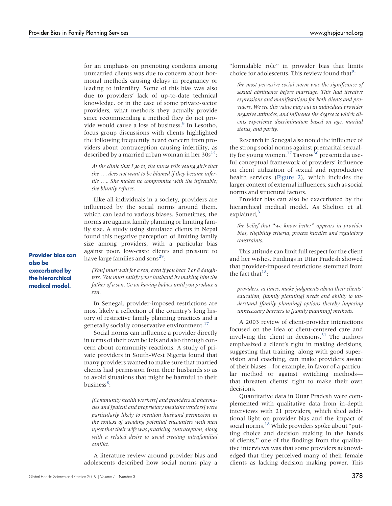for an emphasis on promoting condoms among unmarried clients was due to concern about hormonal methods causing delays in pregnancy or leading to infertility. Some of this bias was also due to providers' lack of up-to-date technical knowledge, or in the case of some private-sector providers, what methods they actually provide since recommending a method they do not pro-vide would cause a loss of business.<sup>[8](#page-12-7)</sup> In Lesotho, focus group discussions with clients highlighted the following frequently heard concern from providers about contraception causing infertility, as described by a married urban woman in her  $30s^{14}$ :

At the clinic that I go to, the nurse tells young girls that she ... does not want to be blamed if they became infertile .... She makes no compromise with the injectable; she bluntly refuses.

Like all individuals in a society, providers are influenced by the social norms around them, which can lead to various biases. Sometimes, the norms are against family planning or limiting family size. A study using simulated clients in Nepal found this negative perception of limiting family size among providers, with a particular bias against poor, low-caste clients and pressure to have large families and sons<sup>29</sup>:

Provider bias can also be exacerbated by the hierarchical medical model.

[You] must wait for a son, even if you bear 7 or 8 daughters. You must satisfy your husband by making him the father of a son. Go on having babies until you produce a son.

In Senegal, provider-imposed restrictions are most likely a reflection of the country's long history of restrictive family planning practices and a generally socially conservative environment.<sup>[17](#page-13-7)</sup>

Social norms can influence a provider directly in terms of their own beliefs and also through concern about community reactions. A study of private providers in South-West Nigeria found that many providers wanted to make sure that married clients had permission from their husbands so as to avoid situations that might be harmful to their business<sup>[8](#page-12-7)</sup>:

[Community health workers] and providers at pharmacies and [patent and proprietary medicine vendors] were particularly likely to mention husband permission in the context of avoiding potential encounters with men upset that their wife was practicing contraception, along with a related desire to avoid creating intrafamilial conflict.

A literature review around provider bias and adolescents described how social norms play a "formidable role" in provider bias that limits choice for adolescents. This review found that<sup>[9](#page-12-8)</sup>:

the most pervasive social norm was the significance of sexual abstinence before marriage. This had iterative expressions and manifestations for both clients and providers. We see this value play out in individual provider negative attitudes, and influence the degree to which clients experience discrimination based on age, marital status, and parity.

Research in Senegal also noted the influence of the strong social norms against premarital sexual-ity for young women.<sup>17</sup> Tavrow<sup>[30](#page-13-19)</sup> presented a useful conceptual framework of providers' influence on client utilization of sexual and reproductive health services [\(Figure 2\)](#page-8-0), which includes the larger context of external influences, such as social norms and structural factors.

Provider bias can also be exacerbated by the hierarchical medical model. As Shelton et al. explained, $3$ 

the belief that "we know better" appears in provider bias, eligibility criteria, process hurdles and regulatory constraints.

This attitude can limit full respect for the client and her wishes. Findings in Uttar Pradesh showed that provider-imposed restrictions stemmed from the fact that  $18$ :

providers, at times, make judgments about their clients' education, [family planning] needs and ability to understand [family planning] options thereby imposing unnecessary barriers to [family planning] methods.

A 2003 review of client-provider interactions focused on the idea of client-centered care and involving the client in decisions. $31$  The authors emphasized a client's right in making decisions, suggesting that training, along with good supervision and coaching, can make providers aware of their biases—for example, in favor of a particular method or against switching methods that threaten clients' right to make their own decisions.

Quantitative data in Uttar Pradesh were complemented with qualitative data from in-depth interviews with 21 providers, which shed additional light on provider bias and the impact of social norms.<sup>[18](#page-13-5)</sup> While providers spoke about "putting choice and decision making in the hands of clients," one of the findings from the qualitative interviews was that some providers acknowledged that they perceived many of their female clients as lacking decision making power. This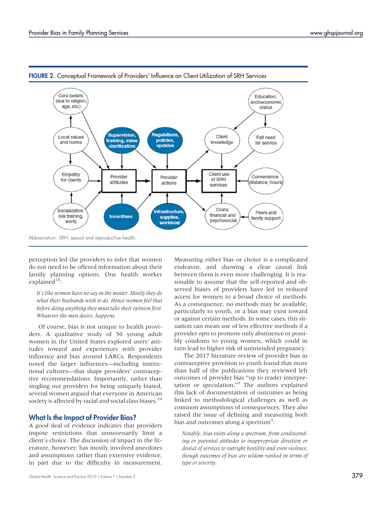

<span id="page-8-0"></span>FIGURE 2. Conceptual Framework of Providers' Influence on Client Utilization of SRH Services

perception led the providers to infer that women do not need to be offered information about their family planning options. One health worker explained $18$ :

It's like women have no say in the matter. Mostly they do what their husbands wish to do. Hence women feel that before doing anything they must take their opinion first. Whatever the men desire, happens.

Of course, bias is not unique to health providers. A qualitative study of 50 young adult women in the United States explored users' attitudes toward and experiences with provider influence and bias around LARCs. Respondents noted the larger influences—including institutional cultures—that shape providers' contraceptive recommendations. Importantly, rather than singling out providers for being uniquely biased, several women argued that everyone in American society is affected by racial and social class biases.<sup>[24](#page-13-13)</sup>

## What Is the Impact of Provider Bias?

A good deal of evidence indicates that providers impose restrictions that unnecessarily limit a client's choice. The discussion of impact in the literature, however, has mostly involved anecdotes and assumptions rather than extensive evidence, in part due to the difficulty in measurement.

Measuring either bias or choice is a complicated endeavor, and showing a clear causal link between them is even more challenging. It is reasonable to assume that the self-reported and observed biases of providers have led to reduced access for women to a broad choice of methods. As a consequence, no methods may be available, particularly to youth, or a bias may exist toward or against certain methods. In some cases, this situation can mean use of less effective methods if a provider opts to promote only abstinence or possibly condoms to young women, which could in turn lead to higher risk of unintended pregnancy.

The 2017 literature review of provider bias in contraceptive provision to youth found that more than half of the publications they reviewed left outcomes of provider bias "up to reader interpretation or speculation." [9](#page-12-8) The authors explained this lack of documentation of outcomes as being linked to methodological challenges as well as common assumptions of consequences. They also raised the issue of defining and measuring both bias and outcomes along a spectrum<sup>[9](#page-12-8)</sup>:

Notably, bias exists along a spectrum, from condescending or parental attitudes to inappropriate direction or denial of services to outright hostility and even violence, though outcomes of bias are seldom ranked in terms of type or severity.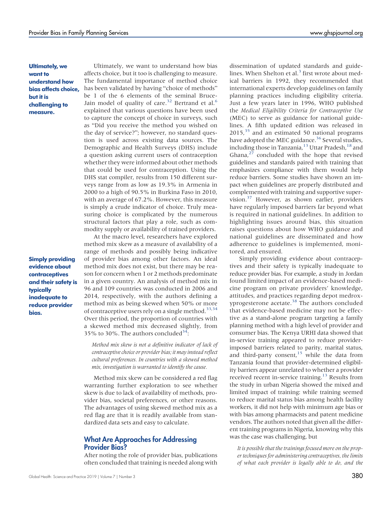Ultimately, we want to understand how bias affects choice, but it is challenging to measure.

Simply providing evidence about contraceptives and their safety is typically inadequate to reduce provider bias.

Ultimately, we want to understand how bias affects choice, but it too is challenging to measure. The fundamental importance of method choice has been validated by having "choice of methods" be 1 of the 6 elements of the seminal Bruce-Jain model of quality of care.<sup>[32](#page-13-21)</sup> Bertrand et al.<sup>[6](#page-12-5)</sup> explained that various questions have been used to capture the concept of choice in surveys, such as "Did you receive the method you wished on the day of service?"; however, no standard question is used across existing data sources. The Demographic and Health Surveys (DHS) include a question asking current users of contraception whether they were informed about other methods that could be used for contraception. Using the DHS stat compiler, results from 150 different surveys range from as low as 19.3% in Armenia in 2000 to a high of 90.5% in Burkina Faso in 2010, with an average of 67.2%. However, this measure is simply a crude indicator of choice. Truly measuring choice is complicated by the numerous structural factors that play a role, such as commodity supply or availability of trained providers.

At the macro level, researchers have explored method mix skew as a measure of availability of a range of methods and possibly being indicative of provider bias among other factors. An ideal method mix does not exist, but there may be reason for concern when 1 or 2 methods predominate in a given country. An analysis of method mix in 96 and 109 countries was conducted in 2006 and 2014, respectively, with the authors defining a method mix as being skewed when 50% or more of contraceptive users rely on a single method.<sup>33,[34](#page-13-23)</sup> Over this period, the proportion of countries with a skewed method mix decreased slightly, from 35% to 30%. The authors concluded<sup>34</sup>:

Method mix skew is not a definitive indicator of lack of contraceptive choice or provider bias; it may instead reflect cultural preferences. In countries with a skewed method mix, investigation is warranted to identify the cause.

Method mix skew can be considered a red flag warranting further exploration to see whether skew is due to lack of availability of methods, provider bias, societal preferences, or other reasons. The advantages of using skewed method mix as a red flag are that it is readily available from standardized data sets and easy to calculate.

## What Are Approaches for Addressing Provider Bias?

After noting the role of provider bias, publications often concluded that training is needed along with

dissemination of updated standards and guide-lines. When Shelton et al.<sup>[3](#page-12-2)</sup> first wrote about medical barriers in 1992, they recommended that international experts develop guidelines on family planning practices including eligibility criteria. Just a few years later in 1996, WHO published the Medical Eligibility Criteria for Contraceptive Use (MEC) to serve as guidance for national guidelines. A fifth updated edition was released in  $2015$ ,  $35$  and an estimated 50 national programs have adopted the MEC guidance.<sup>36</sup> Several studies, including those in Tanzania,<sup>[13](#page-13-2)</sup> Uttar Pradesh,<sup>[18](#page-13-5)</sup> and Ghana, $2^7$  concluded with the hope that revised guidelines and standards paired with training that emphasizes compliance with them would help reduce barriers. Some studies have shown an impact when guidelines are properly distributed and complemented with training and supportive supervision[.37](#page-13-26) However, as shown earlier, providers have regularly imposed barriers far beyond what is required in national guidelines. In addition to highlighting issues around bias, this situation raises questions about how WHO guidance and national guidelines are disseminated and how adherence to guidelines is implemented, monitored, and ensured.

Simply providing evidence about contraceptives and their safety is typically inadequate to reduce provider bias. For example, a study in Jordan found limited impact of an evidence-based medicine program on private providers' knowledge, attitudes, and practices regarding depot medroxyprogesterone acetate.[38](#page-13-27) The authors concluded that evidence-based medicine may not be effective as a stand-alone program targeting a family planning method with a high level of provider and consumer bias. The Kenya URHI data showed that in-service training appeared to reduce providerimposed barriers related to parity, marital status, and third-party consent, $15$  while the data from Tanzania found that provider-determined eligibility barriers appear unrelated to whether a provider received recent in-service training.<sup>13</sup> Results from the study in urban Nigeria showed the mixed and limited impact of training: while training seemed to reduce marital status bias among health facility workers, it did not help with minimum age bias or with bias among pharmacists and patent medicine vendors. The authors noted that given all the different training programs in Nigeria, knowing why this was the case was challenging, but

It is possible that the trainings focused more on the proper techniques for administering contraceptives, the limits of what each provider is legally able to do, and the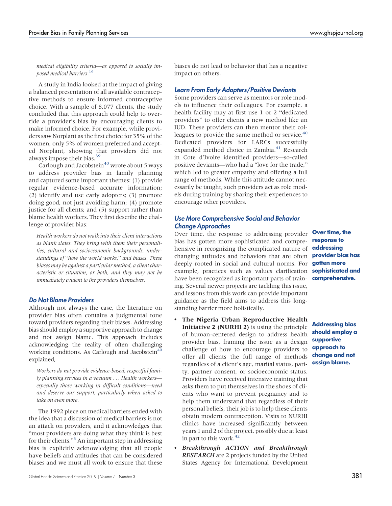medical eligibility criteria—as opposed to socially imposed medical barriers.[16](#page-13-6)

A study in India looked at the impact of giving a balanced presentation of all available contraceptive methods to ensure informed contraceptive choice. With a sample of 8,077 clients, the study concluded that this approach could help to override a provider's bias by encouraging clients to make informed choice. For example, while providers saw Norplant as the first choice for 35% of the women, only 5% of women preferred and accepted Norplant, showing that providers did not always impose their bias.<sup>39</sup>

Carlough and Jacobstein<sup>40</sup> wrote about 5 ways to address provider bias in family planning and captured some important themes: (1) provide regular evidence-based accurate information; (2) identify and use early adopters; (3) promote doing good, not just avoiding harm; (4) promote justice for all clients; and (5) support rather than blame health workers. They first describe the challenge of provider bias:

Health workers do not walk into their client interactions as blank slates. They bring with them their personalities, cultural and socioeconomic backgrounds, understandings of "how the world works," and biases. These biases may be against a particular method, a client characteristic or situation, or both, and they may not be immediately evident to the providers themselves.

#### Do Not Blame Providers

Although not always the case, the literature on provider bias often contains a judgmental tone toward providers regarding their biases. Addressing bias should employ a supportive approach to change and not assign blame. This approach includes acknowledging the reality of often challenging working conditions. As Carlough and Jacobstein $40$ explained,

Workers do not provide evidence-based, respectful family planning services in a vacuum ... Health workers especially those working in difficult conditions—need and deserve our support, particularly when asked to take on even more.

The 1992 piece on medical barriers ended with the idea that a discussion of medical barriers is not an attack on providers, and it acknowledges that "most providers are doing what they think is best for their clients." [3](#page-12-2) An important step in addressing bias is explicitly acknowledging that all people have beliefs and attitudes that can be considered biases and we must all work to ensure that these biases do not lead to behavior that has a negative impact on others.

## Learn From Early Adopters/Positive Deviants

Some providers can serve as mentors or role models to influence their colleagues. For example, a health facility may at first use 1 or 2 "dedicated providers" to offer clients a new method like an IUD. These providers can then mentor their col-leagues to provide the same method or service.<sup>[40](#page-13-29)</sup> Dedicated providers for LARCs successfully expanded method choice in Zambia.<sup>[41](#page-13-30)</sup> Research in Cote d'Ivoire identified providers—so-called positive deviants—who had a "love for the trade," which led to greater empathy and offering a full range of methods. While this attitude cannot necessarily be taught, such providers act as role models during training by sharing their experiences to encourage other providers.

## Use More Comprehensive Social and Behavior Change Approaches

Over time, the response to addressing provider bias has gotten more sophisticated and comprehensive in recognizing the complicated nature of changing attitudes and behaviors that are often deeply rooted in social and cultural norms. For example, practices such as values clarification **sophisticated and** have been recognized as important parts of train- **comprehensive.** ing. Several newer projects are tackling this issue, and lessons from this work can provide important guidance as the field aims to address this longstanding barrier more holistically.

- The Nigeria Urban Reproductive Health Initiative 2 (NURHI 2) is using the principle of human-centered design to address health provider bias, framing the issue as a design challenge of how to encourage providers to offer all clients the full range of methods regardless of a client's age, marital status, parity, partner consent, or socioeconomic status. Providers have received intensive training that asks them to put themselves in the shoes of clients who want to prevent pregnancy and to help them understand that regardless of their personal beliefs, their job is to help these clients obtain modern contraception. Visits to NURHI clinics have increased significantly between years 1 and 2 of the project, possibly due at least in part to this work. $4$
- Breakthrough ACTION and Breakthrough **RESEARCH** are 2 projects funded by the United States Agency for International Development

Over time, the response to addressing provider bias has gotten more

Addressing bias should employ a supportive approach to change and not assign blame.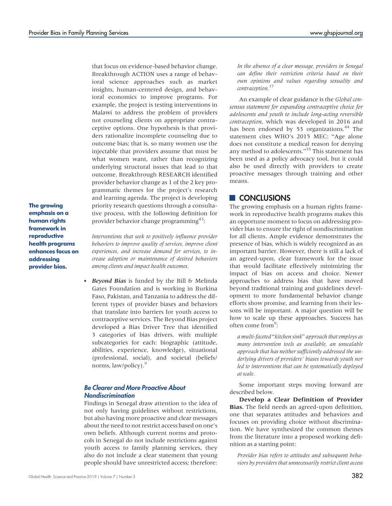that focus on evidence-based behavior change. Breakthrough ACTION uses a range of behavioral science approaches such as market insights, human-centered design, and behavioral economics to improve programs. For example, the project is testing interventions in Malawi to address the problem of providers not counseling clients on appropriate contraceptive options. One hypothesis is that providers rationalize incomplete counseling due to outcome bias; that is, so many women use the injectable that providers assume that must be what women want, rather than recognizing underlying structural issues that lead to that outcome. Breakthrough RESEARCH identified provider behavior change as 1 of the 2 key programmatic themes for the project's research and learning agenda. The project is developing priority research questions through a consultative process, with the following definition for provider behavior change programming<sup>[43](#page-13-32)</sup>:

The growing emphasis on a human rights framework in reproductive health programs enhances focus on addressing provider bias.

Interventions that seek to positively influence provider behaviors to improve quality of services, improve client experiences, and increase demand for services, to increase adoption or maintenance of desired behaviors among clients and impact health outcomes.

Beyond Bias is funded by the Bill & Melinda Gates Foundation and is working in Burkina Faso, Pakistan, and Tanzania to address the different types of provider biases and behaviors that translate into barriers for youth access to contraceptive services. The Beyond Bias project developed a Bias Driver Tree that identified 3 categories of bias drivers, with multiple subcategories for each: biographic (attitude, abilities, experience, knowledge), situational (professional, social), and societal (beliefs/ norms, law/policy).<sup>[9](#page-12-8)</sup>

## Be Clearer and More Proactive About **Nondiscrimination**

Findings in Senegal draw attention to the idea of not only having guidelines without restrictions, but also having more proactive and clear messages about the need to not restrict access based on one's own beliefs. Although current norms and protocols in Senegal do not include restrictions against youth access to family planning services, they also do not include a clear statement that young people should have unrestricted access; therefore:

In the absence of a clear message, providers in Senegal can define their restriction criteria based on their own opinions and values regarding sexuality and contraception.<sup>[17](#page-13-7)</sup>

An example of clear guidance is the Global consensus statement for expanding contraceptive choice for adolescents and youth to include long-acting reversible contraception, which was developed in 2016 and has been endorsed by 53 organizations.<sup>[44](#page-13-33)</sup> The statement cites WHO's 2015 MEC: "Age alone does not constitute a medical reason for denying any method to adolescents."<sup>[35](#page-13-24)</sup> This statement has been used as a policy advocacy tool, but it could also be used directly with providers to create proactive messages through training and other means.

# **CONCLUSIONS**

The growing emphasis on a human rights framework in reproductive health programs makes this an opportune moment to focus on addressing provider bias to ensure the right of nondiscrimination for all clients. Ample evidence demonstrates the presence of bias, which is widely recognized as an important barrier. However, there is still a lack of an agreed-upon, clear framework for the issue that would facilitate effectively minimizing the impact of bias on access and choice. Newer approaches to address bias that have moved beyond traditional training and guidelines development to more fundamental behavior change efforts show promise, and learning from their lessons will be important. A major question will be how to scale up these approaches. Success has often come from<sup>[9](#page-12-8)</sup>:

a multi-faceted "kitchen sink" approach that employs as many intervention tools as available, an unscalable approach that has neither sufficiently addressed the underlying drivers of providers' biases towards youth nor led to interventions that can be systematically deployed at scale.

Some important steps moving forward are described below.

Develop a Clear Definition of Provider Bias. The field needs an agreed-upon definition, one that separates attitudes and behaviors and focuses on providing choice without discrimination. We have synthesized the common themes from the literature into a proposed working definition as a starting point:

Provider bias refers to attitudes and subsequent behaviors by providers that unnecessarily restrict client access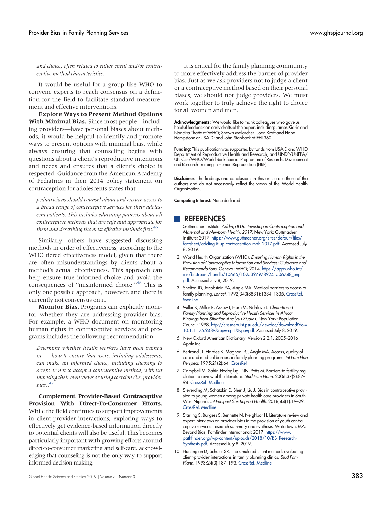and choice, often related to either client and/or contraceptive method characteristics.

It would be useful for a group like WHO to convene experts to reach consensus on a definition for the field to facilitate standard measurement and effective interventions.

Explore Ways to Present Method Options With Minimal Bias. Since most people—including providers—have personal biases about methods, it would be helpful to identify and promote ways to present options with minimal bias, while always ensuring that counseling begins with questions about a client's reproductive intentions and needs and ensures that a client's choice is respected. Guidance from the American Academy of Pediatrics in their 2014 policy statement on contraception for adolescents states that

pediatricians should counsel about and ensure access to a broad range of contraceptive services for their adolescent patients. This includes educating patients about all contraceptive methods that are safe and appropriate for them and describing the most effective methods first. $45$ 

Similarly, others have suggested discussing methods in order of effectiveness, according to the WHO tiered effectiveness model, given that there are often misunderstandings by clients about a method's actual effectiveness. This approach can help ensure true informed choice and avoid the consequences of "misinformed choice."<sup>[46](#page-14-1)</sup> This is only one possible approach, however, and there is currently not consensus on it.

Monitor Bias. Programs can explicitly monitor whether they are addressing provider bias. For example, a WHO document on monitoring human rights in contraceptive services and programs includes the following recommendation:

Determine whether health workers have been trained in ... how to ensure that users, including adolescents, can make an informed choice, including choosing to accept or not to accept a contraceptive method, without imposing their own views or using coercion (i.e. provider  $bias)$ .<sup>[47](#page-14-2)</sup>

Complement Provider-Based Contraceptive Provision With Direct-To-Consumer Efforts. While the field continues to support improvements in client-provider interactions, exploring ways to effectively get evidence-based information directly to potential clients will also be useful. This becomes particularly important with growing efforts around direct-to-consumer marketing and self-care, acknowledging that counseling is not the only way to support informed decision making.

It is critical for the family planning community to more effectively address the barrier of provider bias. Just as we ask providers not to judge a client or a contraceptive method based on their personal biases, we should not judge providers. We must work together to truly achieve the right to choice for all women and men.

Acknowledgments: We would like to thank colleagues who gave us helpful feedback on early drafts of the paper, including: James Kiarie and Nandita Thatte at WHO; Shawn Malarcher, Joan Kraft and Hope Hempstone at USAID; and John Stanback at FHI 360.

**Funding:** This publication was supported by funds from USAID and WHO Department of Reproductive Health and Research, and UNDP/UNFPA/ UNICEF/WHO/World Bank Special Programme of Research, Development and Research Training in Human Reproduction (HRP).

Disclaimer: The findings and conclusions in this article are those of the authors and do not necessarily reflect the views of the World Health Organization.

Competing Interest: None declared.

## **REFERENCES**

- <span id="page-12-0"></span>1. Guttmacher Institute. Adding It Up: Investing in Contraception and Maternal and Newborn Health, 2017. New York: Guttmacher Institute; 2017. [https://www.guttmacher.org/sites/default/files/](https://www.guttmacher.org/sites/default/files/factsheet/adding-it-up-contraception-mnh-2017.pdf) [factsheet/adding-it-up-contraception-mnh-2017.pdf.](https://www.guttmacher.org/sites/default/files/factsheet/adding-it-up-contraception-mnh-2017.pdf) Accessed July 8, 2019.
- <span id="page-12-1"></span>2. World Health Organization (WHO). Ensuring Human Rights in the Provision of Contraceptive Information and Services: Guidance and Recommendations. Geneva: WHO; 2014. [https://apps.who.int/](https://apps.who.int/iris/bitstream/handle/10665/102539/9789241506748_eng.pdf) [iris/bitstream/handle/10665/102539/9789241506748\\_eng.](https://apps.who.int/iris/bitstream/handle/10665/102539/9789241506748_eng.pdf) [pdf](https://apps.who.int/iris/bitstream/handle/10665/102539/9789241506748_eng.pdf). Accessed July 8, 2019.
- <span id="page-12-2"></span>3. Shelton JD, Jacobstein RA, Angle MA. Medical barriers to access to family planning. Lancet. 1992;340(8831):1334–1335. [CrossRef](https://doi.org/10.1016/0140-6736(92)92505-A). **[Medline](http://www.ncbi.nlm.nih.gov/pubmed/1360046)**
- <span id="page-12-3"></span>4. Miller K, Miller R, Askew I, Horn M, Ndhlovu L. Clinic-Based Family Planning and Reproductive Health Services in Africa: Findings from Situation Analysis Studies. New York: Population Council; 1998. [http://citeseerx.ist.psu.edu/viewdoc/download?doi=](http://citeseerx.ist.psu.edu/viewdoc/download?doi=10.1.1.175.9489&rep=rep1&type=pdf) [10.1.1.175.9489&rep=rep1&type=pdf](http://citeseerx.ist.psu.edu/viewdoc/download?doi=10.1.1.175.9489&rep=rep1&type=pdf). Accessed July 8, 2019.
- <span id="page-12-4"></span>5. New Oxford American Dictionary. Version 2.2.1. 2005–2016 Apple Inc.
- <span id="page-12-5"></span>6. Bertrand JT, Hardee K, Magnani RJ, Angle MA. Access, quality of care and medical barriers in family planning programs. Int Fam Plan Perspect. 1995;21(2):64. [CrossRef](https://doi.org/10.2307/2133525)
- <span id="page-12-6"></span>7. Campbell M, Sahin-Hodoglugil NN, Potts M. Barriers to fertility regulation: a review of the literature. Stud Fam Plann. 2006;37(2):87– 98. [CrossRef](https://doi.org/10.1111/j.1728-4465.2006.00088.x). [Medline](http://www.ncbi.nlm.nih.gov/pubmed/16832983)
- <span id="page-12-7"></span>8. Sieverding M, Schatzkin E, Shen J, Liu J. Bias in contraceptive provision to young women among private health care providers in South West Nigeria. Int Perspect Sex Reprod Health. 2018;44(1):19–29. [CrossRef.](https://doi.org/10.1363/44e5418) [Medline](http://www.ncbi.nlm.nih.gov/pubmed/30028307)
- <span id="page-12-8"></span>9. Starling S, Burgess S, Bennette N, Neighbor H. Literature review and expert interviews on provider bias in the provision of youth contraceptive services: research summary and synthesis. Watertown, MA: Beyond Bias, Pathfinder International; 2017. [https://www.](https://www.pathfinder.org/wp-content/uploads/2018/10/BB_Research-Synthesis.pdf) [pathfinder.org/wp-content/uploads/2018/10/BB\\_Research-](https://www.pathfinder.org/wp-content/uploads/2018/10/BB_Research-Synthesis.pdf)[Synthesis.pdf.](https://www.pathfinder.org/wp-content/uploads/2018/10/BB_Research-Synthesis.pdf) Accessed July 8, 2019.
- <span id="page-12-9"></span>10. Huntington D, Schuler SR. The simulated client method: evaluating client-provider interactions in family planning clinics. Stud Fam Plann. 1993;24(3):187–193. [CrossRef](https://doi.org/10.2307/2939233). [Medline](http://www.ncbi.nlm.nih.gov/pubmed/8351699)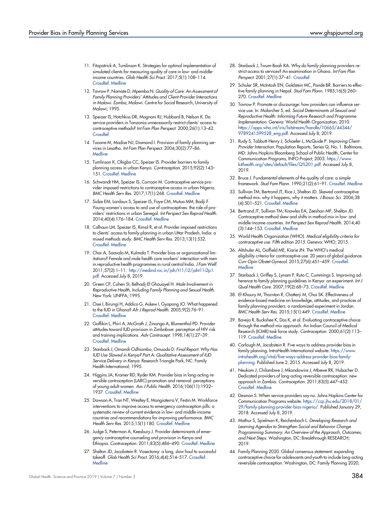- <span id="page-13-0"></span>11. Fitzpatrick A, Tumlinson K. Strategies for optimal implementation of simulated clients for measuring quality of care in low- and middleincome countries. Glob Health Sci Pract. 2017;5(1):108–114. [CrossRef.](https://doi.org/10.9745/GHSP-D-16-00266) [Medline](http://www.ncbi.nlm.nih.gov/pubmed/28126970)
- <span id="page-13-1"></span>12. Tavrow P, Namate D, Mpemba N. Quality of Care: An Assessment of Family Planning Providers' Attitudes and Client-Provider Interactions in Malawi. Zomba, Malawi: Centre for Social Research, University of Malawi; 1995.
- <span id="page-13-2"></span>13. Speizer IS, Hotchkiss DR, Magnani RJ, Hubbard B, Nelson K. Do service providers in Tanzania unnecessarily restrict clients' access to contraceptive methods? Int Fam Plan Perspect. 2000;26(1):13–42. **[CrossRef](https://doi.org/10.2307/2648285)**
- <span id="page-13-3"></span>14. Tuoane M, Madise NJ, Diamond I. Provision of family planning services in Lesotho. Int Fam Plan Perspect. 2004;30(2):77–86. **[Medline](http://www.ncbi.nlm.nih.gov/pubmed/15210406)**
- <span id="page-13-4"></span>15. Tumlinson K, Okigbo CC, Speizer IS. Provider barriers to family planning access in urban Kenya. Contraception. 2015;92(2):143– 151. [CrossRef](https://doi.org/10.1016/j.contraception.2015.04.002). [Medline](http://www.ncbi.nlm.nih.gov/pubmed/25869629)
- <span id="page-13-6"></span>16. Schwandt HM, Speizer IS, Corroon M. Contraceptive service provider imposed restrictions to contraceptive access in urban Nigeria. BMC Health Serv Res. 2017;17(1):268. [CrossRef](https://doi.org/10.1186/s12913-017-2233-0). [Medline](http://www.ncbi.nlm.nih.gov/pubmed/28403858)
- <span id="page-13-7"></span>17. Sidze EM, Lardoux S, Speizer IS, Faye CM, Mutua MM, Badji F. Young women's access to and use of contraceptives: the role of providers' restrictions in urban Senegal. Int Perspect Sex Reprod Health. 2014;40(4):176–184. [CrossRef.](https://doi.org/10.1363/4017614) [Medline](http://www.ncbi.nlm.nih.gov/pubmed/25565345)
- <span id="page-13-5"></span>18. Calhoun LM, Speizer IS, Rimal R, et al. Provider imposed restrictions to clients' access to family planning in urban Uttar Pradesh, India: a mixed methods study. BMC Health Serv Res. 2013;13(1):532. [CrossRef.](https://doi.org/10.1186/1472-6963-13-532) [Medline](http://www.ncbi.nlm.nih.gov/pubmed/24365015)
- <span id="page-13-8"></span>19. Char A, Saavala M, Kulmala T. Provider bias or organizational limitations? Female and male health care workers' interaction with men in reproductive health programmes in rural central India. J Fam Welf. 2011;57(2):1–11. [http://medind.nic.in/jah/t11/i2/jaht11i2p1.](http://medind.nic.in/jah/t11/i2/jaht11i2p1.pdf) [pdf](http://medind.nic.in/jah/t11/i2/jaht11i2p1.pdf). Accessed July 8, 2019.
- <span id="page-13-9"></span>20. Green CP, Cohen SI, Belhadj-El Ghouayel H. Male Involvement in Reproductive Health, Including Family Planning and Sexual Health. New York: UNFPA; 1995.
- <span id="page-13-10"></span>21. Osei I, Birungi H, Addico G, Askew I, Gyapong JO. What happened to the IUD in Ghana? Afr J Reprod Health. 2005;9(2):76–91. [CrossRef.](https://doi.org/10.2307/3583464) [Medline](http://www.ncbi.nlm.nih.gov/pubmed/16485588)
- <span id="page-13-11"></span>22. Gaffikin L, Phiri A, McGrath J, Zinanga A, Blumenthal PD. Provider attitudes toward IUD provision in Zimbabwe: perception of HIV risk and training implications. Adv Contracept. 1998;14(1):27–39. [CrossRef.](https://doi.org/10.1023/A:1006519409808) [Medline](http://www.ncbi.nlm.nih.gov/pubmed/9587006)
- <span id="page-13-12"></span>23. Stanback J, Omondi-Odhiambo, Omuodo D. Final Report: Why Has IUD Use Slowed in Kenya? Part A: Qualitative Assessment of IUD Service Delivery in Kenya. Research Triangle Park, NC: Family Health International; 1995.
- <span id="page-13-13"></span>24. Higgins JA, Kramer RD, Ryder KM. Provider bias in long-acting reversible contraception (LARC) promotion and removal: perceptions of young adult women. Am J Public Health. 2016;106(11):1932– 1937. [CrossRef](https://doi.org/10.2105/AJPH.2016.303393). [Medline](http://www.ncbi.nlm.nih.gov/pubmed/27631741)
- <span id="page-13-14"></span>25. Dawson A, Tran NT, Westley E, Mangiaterra V, Festin M. Workforce interventions to improve access to emergency contraception pills: a systematic review of current evidence in low- and middle-income countries and recommendations for improving performance. BMC Health Serv Res. 2015;15(1):180. [CrossRef](https://doi.org/10.1186/s12913-015-0815-2). [Medline](http://www.ncbi.nlm.nih.gov/pubmed/25927734)
- <span id="page-13-15"></span>26. Judge S, Peterman A, Keesbury J. Provider determinants of emergency contraceptive counseling and provision in Kenya and Ethiopia. Contraception. 2011;83(5):486–490. [CrossRef.](https://doi.org/10.1016/j.contraception.2010.09.005) [Medline](http://www.ncbi.nlm.nih.gov/pubmed/21477694)
- <span id="page-13-16"></span>27. Shelton JD, Jacobstein R. Vasectomy: a long, slow haul to successful takeoff. Glob Health Sci Pract. 2016;4(4):514–517. [CrossRef.](https://doi.org/10.9745/GHSP-D-16-00355) **[Medline](http://www.ncbi.nlm.nih.gov/pubmed/28031295)**
- <span id="page-13-17"></span>28. Stanback J, Twum-Baah KA. Why do family planning providers restrict access to services? An examination in Ghana. Int Fam Plan Perspect. 2001;27(1):37–41. [CrossRef](https://doi.org/10.2307/2673804)
- <span id="page-13-18"></span>29. Schuler SR, McIntosh EN, Goldstein MC, Pande BR. Barriers to effective family planning in Nepal. Stud Fam Plann. 1985;16(5):260– 270. [CrossRef.](https://doi.org/10.2307/1966999) [Medline](http://www.ncbi.nlm.nih.gov/pubmed/4060211)
- <span id="page-13-19"></span>30. Tavrow P. Promote or discourage: how providers can influence service use. In: Malarcher S, ed. Social Determinants of Sexual and Reproductive Health: Informing Future Research and Programme Implementation. Geneva: World Health Organization; 2010. [https://apps.who.int/iris/bitstream/handle/10665/44344/](https://apps.who.int/iris/bitstream/handle/10665/44344/9789241599528_eng.pdf) [9789241599528\\_eng.pdf.](https://apps.who.int/iris/bitstream/handle/10665/44344/9789241599528_eng.pdf) Accessed July 8, 2019.
- <span id="page-13-20"></span>31. Rudy S, Tabbutt-Henry J, Schaefer L, McQuide P. Improving Client-Provider Interaction. Population Reports, Series Q, No. 1. Baltimore, MD: Johns Hopkins Bloomberg School of Public Health, Center for Communication Programs, INFO Project; 2003. [https://www.](https://www.k4health.org/sites/default/files/Q%201.pdf) [k4health.org/sites/default/files/Q%201.pdf.](https://www.k4health.org/sites/default/files/Q%201.pdf) Accessed July 8, 2019.
- <span id="page-13-21"></span>32. Bruce J. Fundamental elements of the quality of care: a simple framework. Stud Fam Plann. 1990;21(2):61–91. [CrossRef](https://doi.org/10.2307/1966669). [Medline](http://www.ncbi.nlm.nih.gov/pubmed/2191476)
- <span id="page-13-22"></span>33. Sullivan TM, Bertrand JT, Rice J, Shelton JD. Skewed contraceptive method mix: why it happens, why it matters. J Biosoc Sci. 2006;38 (4):501–521. [CrossRef](https://doi.org/10.1017/S0021932005026647). [Medline](http://www.ncbi.nlm.nih.gov/pubmed/16762087)
- <span id="page-13-23"></span>34. Bertrand JT, Sullivan TM, Knowles EA, Zeeshan MF, Shelton JD. Contraceptive method skew and shifts in method mix in low- and middle-income countries. Int Perspect Sex Reprod Health. 2014;40 (3):144–153. [CrossRef](https://doi.org/10.1363/4014414). [Medline](http://www.ncbi.nlm.nih.gov/pubmed/25271650)
- <span id="page-13-24"></span>35. World Health Organization (WHO). Medical eligibility criteria for contraceptive use. Fifth edition 2015. Geneva: WHO; 2015.
- <span id="page-13-25"></span>36. Altshuler AL, Gaffield ME, Kiarie JN. The WHO's medical eligibility criteria for contraceptive use: 20 years of global guidance. Curr Opin Obstet Gynecol. 2015;27(6):451–459. [CrossRef.](https://doi.org/10.1097/GCO.0000000000000212) **[Medline](http://www.ncbi.nlm.nih.gov/pubmed/26390246)**
- <span id="page-13-26"></span>37. Stanback J, Griffey S, Lynam P, Ruto C, Cummings S. Improving adherence to family planning guidelines in Kenya: an experiment. Int J Qual Health Care. 2007;19(2):68–73. [CrossRef.](https://doi.org/10.1093/intqhc/mzl072) [Medline](http://www.ncbi.nlm.nih.gov/pubmed/17277011)
- <span id="page-13-27"></span>38. El-Khoury M, Thornton R, Chatterji M, Choi SK. Effectiveness of evidence-based medicine on knowledge, attitudes, and practices of family planning providers: a randomized experiment in Jordan. BMC Health Serv Res. 2015;15(1):449. [CrossRef.](https://doi.org/10.1186/s12913-015-1101-z) [Medline](http://www.ncbi.nlm.nih.gov/pubmed/26431847)
- <span id="page-13-28"></span>39. Baveja R, Buckshee K, Das K, et al. Evaluating contraceptive choice through the method-mix approach. An Indian Council of Medical Research (ICMR) task force study. Contraception. 2000;61(2):113– 119. [CrossRef.](https://doi.org/10.1016/S0010-7824(00)00089-5) [Medline](http://www.ncbi.nlm.nih.gov/pubmed/10802276)
- <span id="page-13-29"></span>40. Carlough M, Jacobstein R. Five ways to address provider bias in family planning. IntraHealth International website. [https://www.](https://www.intrahealth.org/vital/five-ways-address-provider-bias-family-planning) [intrahealth.org/vital/five-ways-address-provider-bias-family](https://www.intrahealth.org/vital/five-ways-address-provider-bias-family-planning)[planning.](https://www.intrahealth.org/vital/five-ways-address-provider-bias-family-planning) Published June 2, 2015. Accessed July 8, 2019.
- <span id="page-13-30"></span>41. Neukom J, Chilambwe J, Mkandawire J, Mbewe RK, Hubacher D. Dedicated providers of long-acting reversible contraception: new approach in Zambia. Contraception. 2011;83(5):447–452. [CrossRef](https://doi.org/10.1016/j.contraception.2010.08.021). [Medline](http://www.ncbi.nlm.nih.gov/pubmed/21477688)
- <span id="page-13-31"></span>42. Desmon S. When service providers say no. Johns Hopkins Center for Communication Programs website. [https://ccp.jhu.edu/2018/01/](https://ccp.jhu.edu/2018/01/29/family-planning-provider-bias-nigeria/) [29/family-planning-provider-bias-nigeria/.](https://ccp.jhu.edu/2018/01/29/family-planning-provider-bias-nigeria/) Published January 29, 2018. Accessed July 8, 2019.
- <span id="page-13-32"></span>43. Mathur S, Spielman K, Reichenbach L. Developing Research and Learning Agendas to Strengthen Social and Behavior Change Programming Summary: An Overview of the Approach, Outcomes, and Next Steps. Washington, DC: Breakthrough RESEARCH; 2019.
- <span id="page-13-33"></span>44. Family Planning 2020. Global consensus statement: expanding contraceptive choice for adolescents and youth to include long-acting reversible contraception. Washington, DC: Family Planning 2020,